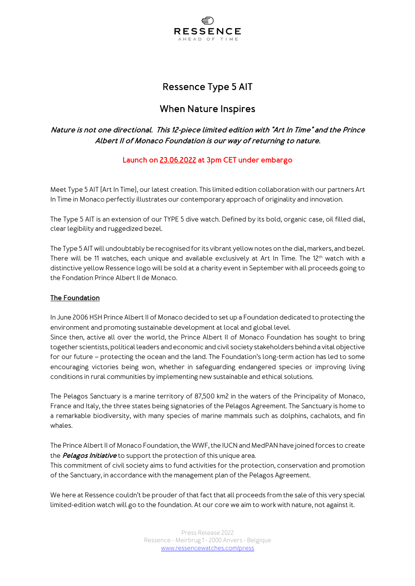

# Ressence Type 5 AIT

# When Nature Inspires

# Nature is not one directional. This 12-piece limited edition with "Art In Time" and the Prince Albert II of Monaco Foundation is our way of returning to nature.

# Launch on 23.06.2022 at 3pm CET under embargo

Meet Type 5 AIT (Art In Time), our latest creation. This limited edition collaboration with our partners Art In Time in Monaco perfectly illustrates our contemporary approach of originality and innovation.

The Type 5 AIT is an extension of our TYPE 5 dive watch. Defined by its bold, organic case, oil filled dial, clear legibility and ruggedized bezel.

The Type 5 AIT will undoubtably be recognised for its vibrant yellow notes on the dial, markers, and bezel. There will be 11 watches, each unique and available exclusively at Art In Time. The 12<sup>th</sup> watch with a distinctive yellow Ressence logo will be sold at a charity event in September with all proceeds going to the Fondation Prince Albert II de Monaco.

## The Foundation

In June 2006 HSH Prince Albert II of Monaco decided to set up a Foundation dedicated to protecting the environment and promoting sustainable development at local and global level.

Since then, active all over the world, the Prince Albert II of Monaco Foundation has sought to bring together scientists, political leaders and economic and civil society stakeholders behind a vital objective for our future – protecting the ocean and the land. The Foundation's long-term action has led to some encouraging victories being won, whether in safeguarding endangered species or improving living conditions in rural communities by implementing new sustainable and ethical solutions.

The Pelagos Sanctuary is a marine territory of 87,500 km2 in the waters of the Principality of Monaco, France and Italy, the three states being signatories of the Pelagos Agreement. The Sanctuary is home to a remarkable biodiversity, with many species of marine mammals such as dolphins, cachalots, and fin whales.

The Prince Albert II of Monaco Foundation, the WWF, the IUCN and MedPAN have joined forces to create the Pelagos Initiative to support the protection of this unique area.

This commitment of civil society aims to fund activities for the protection, conservation and promotion of the Sanctuary, in accordance with the management plan of the Pelagos Agreement.

We here at Ressence couldn't be prouder of that fact that all proceeds from the sale of this very special limited-edition watch will go to the foundation. At our core we aim to work with nature, not against it.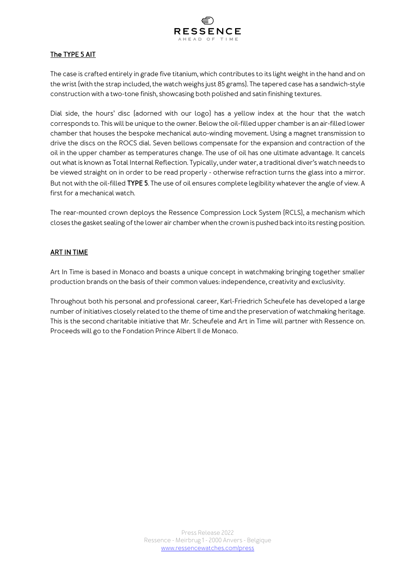

# The TYPE 5 AIT

The case is crafted entirely in grade five titanium, which contributes to its light weight in the hand and on the wrist (with the strap included, the watch weighs just 85 grams). The tapered case has a sandwich-style construction with a two-tone finish, showcasing both polished and satin finishing textures.

Dial side, the hours' disc (adorned with our logo) has a yellow index at the hour that the watch corresponds to. This will be unique to the owner. Below the oil-filled upper chamber is an air-filled lower chamber that houses the bespoke mechanical auto-winding movement. Using a magnet transmission to drive the discs on the ROCS dial. Seven bellows compensate for the expansion and contraction of the oil in the upper chamber as temperatures change. The use of oil has one ultimate advantage. It cancels out what is known as Total Internal Reflection. Typically, under water, a traditional diver's watch needs to be viewed straight on in order to be read properly - otherwise refraction turns the glass into a mirror. But not with the oil-filled TYPE 5. The use of oil ensures complete legibility whatever the angle of view. A first for a mechanical watch.

The rear-mounted crown deploys the Ressence Compression Lock System (RCLS), a mechanism which closes the gasket sealing of the lower air chamber when the crown is pushed back into its resting position.

## ART IN TIME

Art In Time is based in Monaco and boasts a unique concept in watchmaking bringing together smaller production brands on the basis of their common values: independence, creativity and exclusivity.

Throughout both his personal and professional career, Karl-Friedrich Scheufele has developed a large number of initiatives closely related to the theme of time and the preservation of watchmaking heritage. This is the second charitable initiative that Mr. Scheufele and Art in Time will partner with Ressence on. Proceeds will go to the Fondation Prince Albert II de Monaco.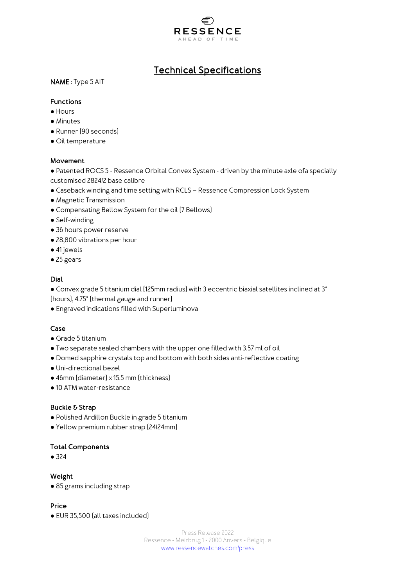

# Technical Specifications

NAME : Type 5 AIT

#### Functions

- Hours
- Minutes
- Runner (90 seconds)
- Oil temperature

#### Movement

● Patented ROCS 5 - Ressence Orbital Convex System - driven by the minute axle ofa specially customised 2824/2 base calibre

- Caseback winding and time setting with RCLS Ressence Compression Lock System
- Magnetic Transmission
- Compensating Bellow System for the oil (7 Bellows)
- Self-winding
- 36 hours power reserve
- 28,800 vibrations per hour
- 41 jewels
- 25 gears

#### Dial

● Convex grade 5 titanium dial (125mm radius) with 3 eccentric biaxial satellites inclined at 3° (hours), 4.75° (thermal gauge and runner)

● Engraved indications filled with Superluminova

## Case

- Grade 5 titanium
- Two separate sealed chambers with the upper one filled with 3.57 ml of oil
- Domed sapphire crystals top and bottom with both sides anti-reflective coating
- Uni-directional bezel
- 46mm (diameter) x 15.5 mm (thickness)
- 10 ATM water-resistance

#### Buckle & Strap

- Polished Ardillon Buckle in grade 5 titanium
- Yellow premium rubber strap (24/24mm)

#### Total Components

● 324

#### Weight

● 85 grams including strap

## Price

● EUR 35,500 (all taxes included)

Press Release 2022 Ressence - Meirbrug 1 - 2000 Anvers - Belgique www.ressencewatches.com/press